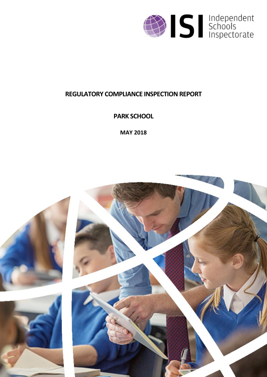

# **REGULATORY COMPLIANCE INSPECTION REPORT**

**PARK SCHOOL**

**MAY 2018**

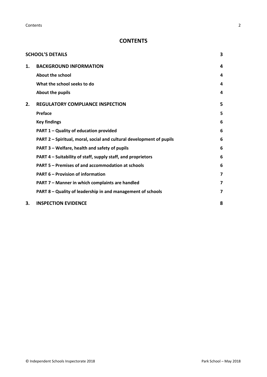**Contents** 2

## **CONTENTS**

|    | <b>SCHOOL'S DETAILS</b>                                              | 3 |
|----|----------------------------------------------------------------------|---|
| 1. | <b>BACKGROUND INFORMATION</b>                                        | 4 |
|    | About the school                                                     | 4 |
|    | What the school seeks to do                                          | 4 |
|    | About the pupils                                                     | 4 |
| 2. | <b>REGULATORY COMPLIANCE INSPECTION</b>                              | 5 |
|    | Preface                                                              | 5 |
|    | <b>Key findings</b>                                                  | 6 |
|    | PART 1 - Quality of education provided                               | 6 |
|    | PART 2 - Spiritual, moral, social and cultural development of pupils | 6 |
|    | PART 3 - Welfare, health and safety of pupils                        | 6 |
|    | PART 4 - Suitability of staff, supply staff, and proprietors         | 6 |
|    | PART 5 - Premises of and accommodation at schools                    | 6 |
|    | <b>PART 6 - Provision of information</b>                             | 7 |
|    | PART 7 - Manner in which complaints are handled                      | 7 |
|    | PART 8 - Quality of leadership in and management of schools          | 7 |
| 3. | <b>INSPECTION EVIDENCE</b>                                           | 8 |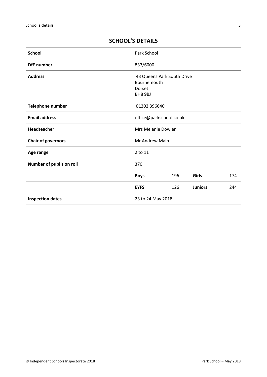| <b>School</b>             | Park School                                                           |     |                |     |
|---------------------------|-----------------------------------------------------------------------|-----|----------------|-----|
| <b>DfE</b> number         | 837/6000                                                              |     |                |     |
| <b>Address</b>            | 43 Queens Park South Drive<br>Bournemouth<br>Dorset<br><b>BH8 9BJ</b> |     |                |     |
| Telephone number          | 01202 396640                                                          |     |                |     |
| <b>Email address</b>      | office@parkschool.co.uk                                               |     |                |     |
| <b>Headteacher</b>        | Mrs Melanie Dowler                                                    |     |                |     |
| <b>Chair of governors</b> | <b>Mr Andrew Main</b>                                                 |     |                |     |
| Age range                 | 2 to 11                                                               |     |                |     |
| Number of pupils on roll  | 370                                                                   |     |                |     |
|                           | <b>Boys</b>                                                           | 196 | <b>Girls</b>   | 174 |
|                           | <b>EYFS</b>                                                           | 126 | <b>Juniors</b> | 244 |
| <b>Inspection dates</b>   | 23 to 24 May 2018                                                     |     |                |     |

## <span id="page-2-0"></span>**SCHOOL'S DETAILS**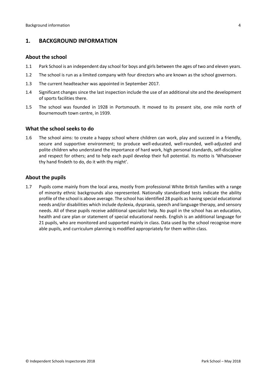## <span id="page-3-0"></span>**1. BACKGROUND INFORMATION**

#### <span id="page-3-1"></span>**About the school**

- 1.1 Park School is an independent day school for boys and girls between the ages of two and eleven years.
- 1.2 The school is run as a limited company with four directors who are known as the school governors.
- 1.3 The current headteacher was appointed in September 2017.
- 1.4 Significant changes since the last inspection include the use of an additional site and the development of sports facilities there.
- 1.5 The school was founded in 1928 in Portsmouth. It moved to its present site, one mile north of Bournemouth town centre, in 1939.

#### <span id="page-3-2"></span>**What the school seeks to do**

1.6 The school aims: to create a happy school where children can work, play and succeed in a friendly, secure and supportive environment; to produce well-educated, well-rounded, well-adjusted and polite children who understand the importance of hard work, high personal standards, self-discipline and respect for others; and to help each pupil develop their full potential. Its motto is 'Whatsoever thy hand findeth to do, do it with thy might'.

#### <span id="page-3-3"></span>**About the pupils**

1.7 Pupils come mainly from the local area, mostly from professional White British families with a range of minority ethnic backgrounds also represented. Nationally standardised tests indicate the ability profile of the school is above average. The school hasidentified 28 pupils as having special educational needs and/or disabilities which include dyslexia, dyspraxia, speech and language therapy, and sensory needs. All of these pupils receive additional specialist help. No pupil in the school has an education, health and care plan or statement of special educational needs. English is an additional language for 21 pupils, who are monitored and supported mainly in class. Data used by the school recognise more able pupils, and curriculum planning is modified appropriately for them within class.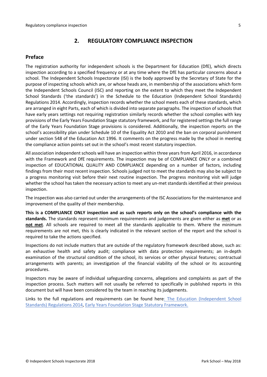## <span id="page-4-0"></span>**2. REGULATORY COMPLIANCE INSPECTION**

## <span id="page-4-1"></span>**Preface**

The registration authority for independent schools is the Department for Education (DfE), which directs inspection according to a specified frequency or at any time where the DfE has particular concerns about a school. The Independent Schools Inspectorate (ISI) is the body approved by the Secretary of State for the purpose of inspecting schools which are, or whose heads are, in membership of the associations which form the Independent Schools Council (ISC) and reporting on the extent to which they meet the Independent School Standards ('the standards') in the Schedule to the Education (Independent School Standards) Regulations 2014. Accordingly, inspection records whether the school meets each of these standards, which are arranged in eight Parts, each of which is divided into separate paragraphs. The inspection of schools that have early years settings not requiring registration similarly records whether the school complies with key provisions of the Early Years Foundation Stage statutory framework, and for registered settings the full range of the Early Years Foundation Stage provisions is considered. Additionally, the inspection reports on the school's accessibility plan under Schedule 10 of the Equality Act 2010 and the ban on corporal punishment under section 548 of the Education Act 1996. It comments on the progress made by the school in meeting the compliance action points set out in the school's most recent statutory inspection.

All association independent schools will have an inspection within three yearsfrom April 2016, in accordance with the Framework and DfE requirements. The inspection may be of COMPLIANCE ONLY or a combined inspection of EDUCATIONAL QUALITY AND COMPLIANCE depending on a number of factors, including findings from their most recent inspection. Schools judged not to meet the standards may also be subject to a progress monitoring visit before their next routine inspection. The progress monitoring visit will judge whether the school has taken the necessary action to meet any un-met standards identified at their previous inspection.

The inspection was also carried out under the arrangements of the ISC Associations for the maintenance and improvement of the quality of their membership.

**This is a COMPLIANCE ONLY inspection and as such reports only on the school's compliance with the standards.** The standards represent minimum requirements and judgements are given either as **met** or as **not met**. All schools are required to meet all the standards applicable to them. Where the minimum requirements are not met, this is clearly indicated in the relevant section of the report and the school is required to take the actions specified.

Inspections do not include matters that are outside of the regulatory framework described above, such as: an exhaustive health and safety audit; compliance with data protection requirements; an in-depth examination of the structural condition of the school, its services or other physical features; contractual arrangements with parents; an investigation of the financial viability of the school or its accounting procedures.

Inspectors may be aware of individual safeguarding concerns, allegations and complaints as part of the inspection process. Such matters will not usually be referred to specifically in published reports in this document but will have been considered by the team in reaching its judgements.

Links to the full regulations and requirements can be found here: The Education [\(Independent](http://www.legislation.gov.uk/uksi/2014/3283/contents/made) School Standards) [Regulations](http://www.legislation.gov.uk/uksi/2014/3283/contents/made) 2014, Early Years Foundation Stage Statutory [Framework.](https://www.gov.uk/government/publications/early-years-foundation-stage-framework--2)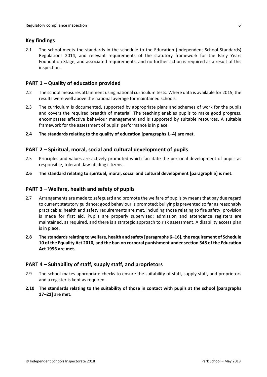## <span id="page-5-0"></span>**Key findings**

2.1 The school meets the standards in the schedule to the Education (Independent School Standards) Regulations 2014, and relevant requirements of the statutory framework for the Early Years Foundation Stage, and associated requirements, and no further action is required as a result of this inspection.

## <span id="page-5-1"></span>**PART 1 – Quality of education provided**

- 2.2 The school measures attainment using national curriculum tests. Where data is available for 2015, the results were well above the national average for maintained schools.
- 2.3 The curriculum is documented, supported by appropriate plans and schemes of work for the pupils and covers the required breadth of material. The teaching enables pupils to make good progress, encompasses effective behaviour management and is supported by suitable resources. A suitable framework for the assessment of pupils' performance is in place.
- **2.4 The standards relating to the quality of education [paragraphs 1–4] are met.**

#### <span id="page-5-2"></span>**PART 2 – Spiritual, moral, social and cultural development of pupils**

- 2.5 Principles and values are actively promoted which facilitate the personal development of pupils as responsible, tolerant, law-abiding citizens.
- **2.6 The standard relating to spiritual, moral, social and cultural development [paragraph 5] is met.**

#### <span id="page-5-3"></span>**PART 3 – Welfare, health and safety of pupils**

- 2.7 Arrangements are made to safeguard and promote the welfare of pupils by means that pay due regard to current statutory guidance; good behaviour is promoted; bullying is prevented so far as reasonably practicable; health and safety requirements are met, including those relating to fire safety; provision is made for first aid. Pupils are properly supervised; admission and attendance registers are maintained, as required, and there is a strategic approach to risk assessment. A disability access plan is in place.
- **2.8 The standardsrelating to welfare, health and safety [paragraphs 6–16], the requirement of Schedule 10 of the Equality Act 2010, and the ban on corporal punishment undersection 548 of the Education Act 1996 are met.**

#### <span id="page-5-4"></span>**PART 4 – Suitability of staff, supply staff, and proprietors**

- 2.9 The school makes appropriate checks to ensure the suitability of staff, supply staff, and proprietors and a register is kept as required.
- **2.10 The standards relating to the suitability of those in contact with pupils at the school [paragraphs 17–21] are met.**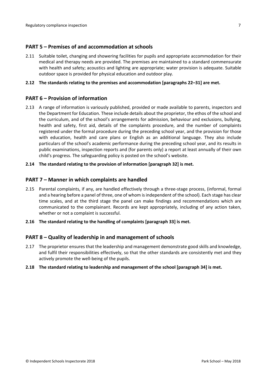#### <span id="page-6-0"></span>**PART 5 – Premises of and accommodation at schools**

2.11 Suitable toilet, changing and showering facilities for pupils and appropriate accommodation for their medical and therapy needs are provided. The premises are maintained to a standard commensurate with health and safety; acoustics and lighting are appropriate; water provision is adequate. Suitable outdoor space is provided for physical education and outdoor play.

#### **2.12 The standards relating to the premises and accommodation [paragraphs 22–31] are met.**

## <span id="page-6-1"></span>**PART 6 – Provision of information**

2.13 A range of information is variously published, provided or made available to parents, inspectors and the Department for Education. These include details about the proprietor, the ethos of the school and the curriculum, and of the school's arrangements for admission, behaviour and exclusions, bullying, health and safety, first aid, details of the complaints procedure, and the number of complaints registered under the formal procedure during the preceding school year, and the provision for those with education, health and care plans or English as an additional language. They also include particulars of the school's academic performance during the preceding school year, and its results in public examinations, inspection reports and (for parents only) a report at least annually of their own child's progress. The safeguarding policy is posted on the school's website.

#### **2.14 The standard relating to the provision of information [paragraph 32] is met.**

#### <span id="page-6-2"></span>**PART 7 – Manner in which complaints are handled**

- 2.15 Parental complaints, if any, are handled effectively through a three-stage process, (informal, formal and a hearing before a panel of three, one of whom is independent of the school). Each stage has clear time scales, and at the third stage the panel can make findings and recommendations which are communicated to the complainant. Records are kept appropriately, including of any action taken, whether or not a complaint is successful.
- **2.16 The standard relating to the handling of complaints [paragraph 33] is met.**

#### <span id="page-6-3"></span>**PART 8 – Quality of leadership in and management of schools**

2.17 The proprietor ensures that the leadership and management demonstrate good skills and knowledge, and fulfil their responsibilities effectively, so that the other standards are consistently met and they actively promote the well-being of the pupils.

#### **2.18 The standard relating to leadership and management of the school [paragraph 34] is met.**